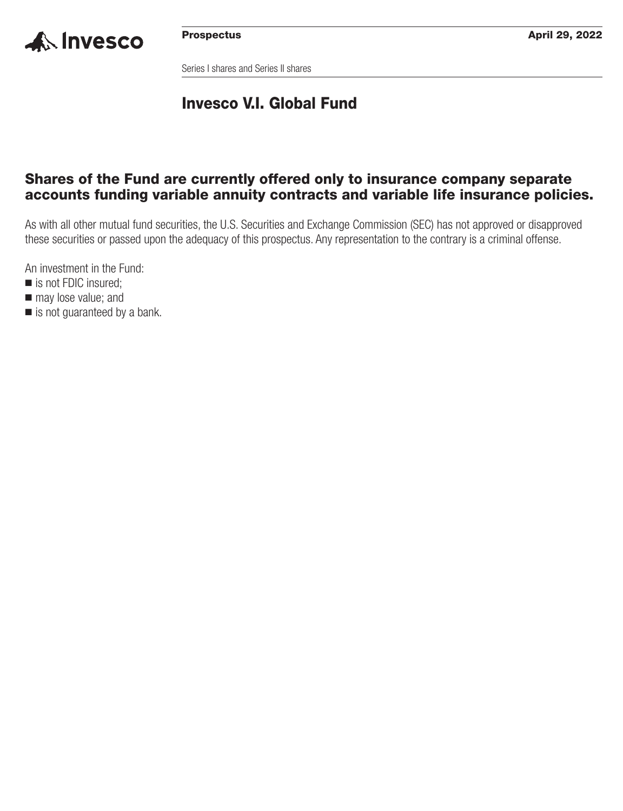

Series I shares and Series II shares

## **Invesco V.I. Global Fund**

## **Shares of the Fund are currently offered only to insurance company separate accounts funding variable annuity contracts and variable life insurance policies.**

As with all other mutual fund securities, the U.S. Securities and Exchange Commission (SEC) has not approved or disapproved these securities or passed upon the adequacy of this prospectus. Any representation to the contrary is a criminal offense.

An investment in the Fund:

- is not FDIC insured;
- $\blacksquare$  may lose value; and
- is not guaranteed by a bank.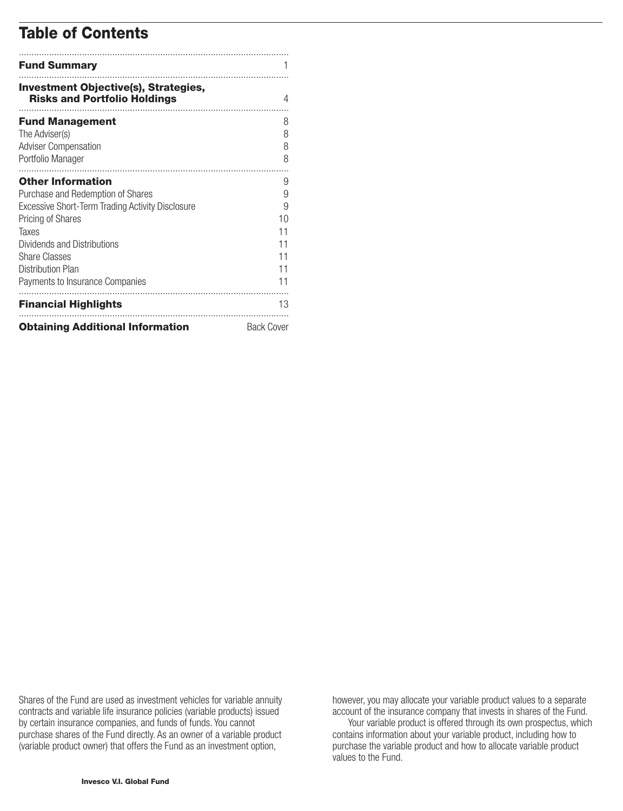## **Table of Contents**

| <b>Fund Summary</b>                                                                |                   |
|------------------------------------------------------------------------------------|-------------------|
| <b>Investment Objective(s), Strategies,</b><br><b>Risks and Portfolio Holdings</b> | 4                 |
| <b>Fund Management</b>                                                             | 8                 |
| The Adviser(s)                                                                     | 8                 |
| <b>Adviser Compensation</b>                                                        | 8                 |
| Portfolio Manager                                                                  | 8                 |
| <b>Other Information</b>                                                           | 9                 |
| Purchase and Redemption of Shares                                                  | 9                 |
| Excessive Short-Term Trading Activity Disclosure                                   | 9                 |
| <b>Pricing of Shares</b>                                                           | 10                |
| Taxes                                                                              | 11                |
| Dividends and Distributions                                                        | 11                |
| <b>Share Classes</b>                                                               | 11                |
| Distribution Plan                                                                  | 11                |
| Payments to Insurance Companies                                                    | 11                |
| <b>Financial Highlights</b>                                                        | 13                |
| <b>Obtaining Additional Information</b>                                            | <b>Back Cover</b> |

Shares of the Fund are used as investment vehicles for variable annuity contracts and variable life insurance policies (variable products) issued by certain insurance companies, and funds of funds. You cannot purchase shares of the Fund directly. As an owner of a variable product (variable product owner) that offers the Fund as an investment option,

however, you may allocate your variable product values to a separate account of the insurance company that invests in shares of the Fund.

Your variable product is offered through its own prospectus, which contains information about your variable product, including how to purchase the variable product and how to allocate variable product values to the Fund.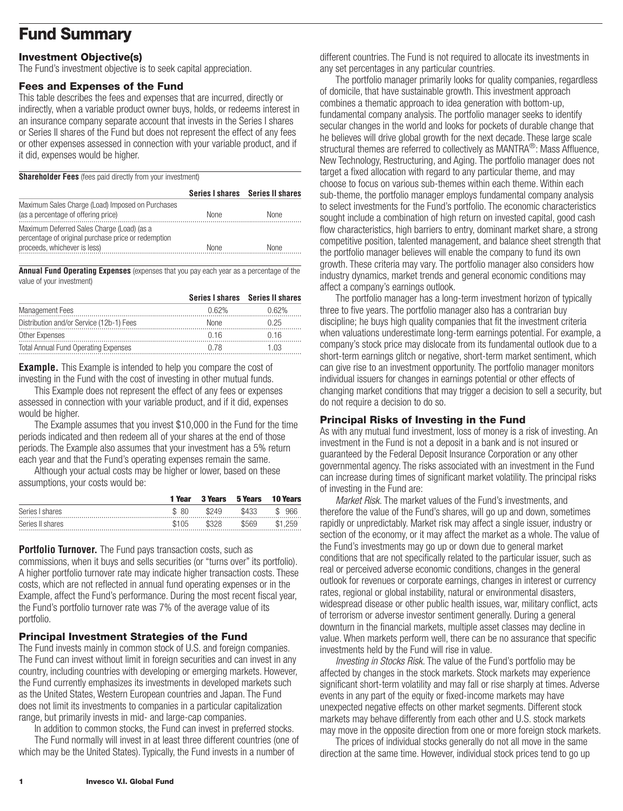## <span id="page-2-0"></span>**Fund Summary**

## **Investment Objective(s)**

The Fund's investment objective is to seek capital appreciation.

#### **Fees and Expenses of the Fund**

This table describes the fees and expenses that are incurred, directly or indirectly, when a variable product owner buys, holds, or redeems interest in an insurance company separate account that invests in the Series I shares or Series II shares of the Fund but does not represent the effect of any fees or other expenses assessed in connection with your variable product, and if it did, expenses would be higher.

**Shareholder Fees** (fees paid directly from your investment)

|                                                                                                                                   |             | Series I shares Series II shares |
|-----------------------------------------------------------------------------------------------------------------------------------|-------------|----------------------------------|
| Maximum Sales Charge (Load) Imposed on Purchases<br>(as a percentage of offering price)                                           | <b>None</b> | None                             |
| Maximum Deferred Sales Charge (Load) (as a<br>percentage of original purchase price or redemption<br>proceeds, whichever is less) | <b>None</b> | None                             |

**Annual Fund Operating Expenses** (expenses that you pay each year as a percentage of the value of your investment)

|                                             |       | Series I shares Series II shares |
|---------------------------------------------|-------|----------------------------------|
| <b>Management Fees</b>                      | በ 62% | በ 62%                            |
| Distribution and/or Service (12b-1) Fees    | None  | በ 25                             |
| Other Expenses                              | በ 16  | ገ 16                             |
| <b>Total Annual Fund Operating Expenses</b> | O 78  |                                  |

**Example.** This Example is intended to help you compare the cost of investing in the Fund with the cost of investing in other mutual funds.

This Example does not represent the effect of any fees or expenses assessed in connection with your variable product, and if it did, expenses would be higher.

The Example assumes that you invest \$10,000 in the Fund for the time periods indicated and then redeem all of your shares at the end of those periods. The Example also assumes that your investment has a 5% return each year and that the Fund's operating expenses remain the same.

Although your actual costs may be higher or lower, based on these assumptions, your costs would be:

|                  | 1 Year | 3 Years | 5 Years | <b>10 Years</b> |
|------------------|--------|---------|---------|-----------------|
| Series I shares  | \$80   | \$249   | \$433   | 966<br>S        |
| Series II shares | \$105  | \$328   | \$569   | \$1.259         |

**Portfolio Turnover.** The Fund pays transaction costs, such as commissions, when it buys and sells securities (or "turns over" its portfolio). A higher portfolio turnover rate may indicate higher transaction costs. These costs, which are not reflected in annual fund operating expenses or in the Example, affect the Fund's performance. During the most recent fiscal year, the Fund's portfolio turnover rate was 7% of the average value of its portfolio.

## **Principal Investment Strategies of the Fund**

The Fund invests mainly in common stock of U.S. and foreign companies. The Fund can invest without limit in foreign securities and can invest in any country, including countries with developing or emerging markets. However, the Fund currently emphasizes its investments in developed markets such as the United States, Western European countries and Japan. The Fund does not limit its investments to companies in a particular capitalization range, but primarily invests in mid- and large-cap companies.

In addition to common stocks, the Fund can invest in preferred stocks.

The Fund normally will invest in at least three different countries (one of which may be the United States). Typically, the Fund invests in a number of

different countries. The Fund is not required to allocate its investments in any set percentages in any particular countries.

The portfolio manager primarily looks for quality companies, regardless of domicile, that have sustainable growth. This investment approach combines a thematic approach to idea generation with bottom-up, fundamental company analysis. The portfolio manager seeks to identify secular changes in the world and looks for pockets of durable change that he believes will drive global growth for the next decade. These large scale structural themes are referred to collectively as MANTRA<sup>®</sup>: Mass Affluence, New Technology, Restructuring, and Aging. The portfolio manager does not target a fixed allocation with regard to any particular theme, and may choose to focus on various sub-themes within each theme. Within each sub-theme, the portfolio manager employs fundamental company analysis to select investments for the Fund's portfolio. The economic characteristics sought include a combination of high return on invested capital, good cash flow characteristics, high barriers to entry, dominant market share, a strong competitive position, talented management, and balance sheet strength that the portfolio manager believes will enable the company to fund its own growth. These criteria may vary. The portfolio manager also considers how industry dynamics, market trends and general economic conditions may affect a company's earnings outlook.

The portfolio manager has a long-term investment horizon of typically three to five years. The portfolio manager also has a contrarian buy discipline; he buys high quality companies that fit the investment criteria when valuations underestimate long-term earnings potential. For example, a company's stock price may dislocate from its fundamental outlook due to a short-term earnings glitch or negative, short-term market sentiment, which can give rise to an investment opportunity. The portfolio manager monitors individual issuers for changes in earnings potential or other effects of changing market conditions that may trigger a decision to sell a security, but do not require a decision to do so.

### **Principal Risks of Investing in the Fund**

As with any mutual fund investment, loss of money is a risk of investing. An investment in the Fund is not a deposit in a bank and is not insured or guaranteed by the Federal Deposit Insurance Corporation or any other governmental agency. The risks associated with an investment in the Fund can increase during times of significant market volatility. The principal risks of investing in the Fund are:

*Market Risk.* The market values of the Fund's investments, and therefore the value of the Fund's shares, will go up and down, sometimes rapidly or unpredictably. Market risk may affect a single issuer, industry or section of the economy, or it may affect the market as a whole. The value of the Fund's investments may go up or down due to general market conditions that are not specifically related to the particular issuer, such as real or perceived adverse economic conditions, changes in the general outlook for revenues or corporate earnings, changes in interest or currency rates, regional or global instability, natural or environmental disasters, widespread disease or other public health issues, war, military conflict, acts of terrorism or adverse investor sentiment generally. During a general downturn in the financial markets, multiple asset classes may decline in value. When markets perform well, there can be no assurance that specific investments held by the Fund will rise in value.

*Investing in Stocks Risk.* The value of the Fund's portfolio may be affected by changes in the stock markets. Stock markets may experience significant short-term volatility and may fall or rise sharply at times. Adverse events in any part of the equity or fixed-income markets may have unexpected negative effects on other market segments. Different stock markets may behave differently from each other and U.S. stock markets may move in the opposite direction from one or more foreign stock markets.

The prices of individual stocks generally do not all move in the same direction at the same time. However, individual stock prices tend to go up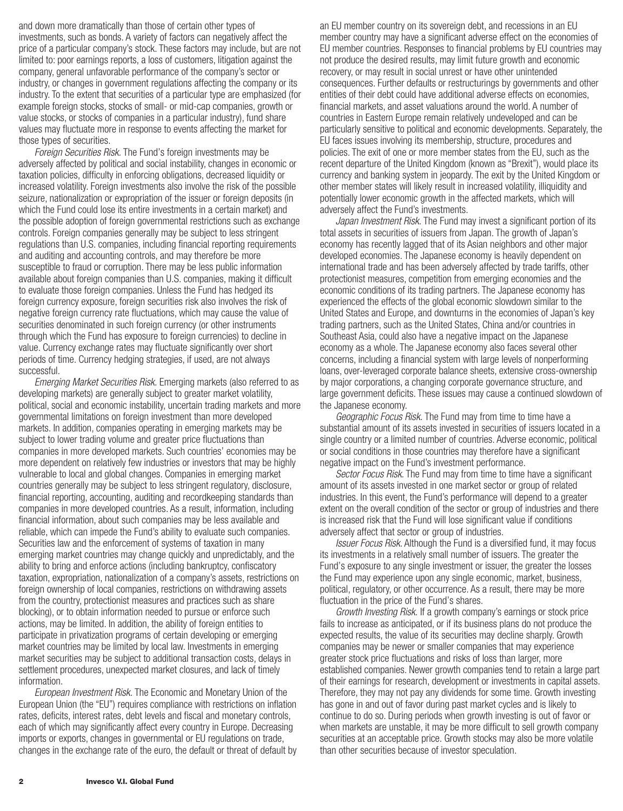and down more dramatically than those of certain other types of investments, such as bonds. A variety of factors can negatively affect the price of a particular company's stock. These factors may include, but are not limited to: poor earnings reports, a loss of customers, litigation against the company, general unfavorable performance of the company's sector or industry, or changes in government regulations affecting the company or its industry. To the extent that securities of a particular type are emphasized (for example foreign stocks, stocks of small- or mid-cap companies, growth or value stocks, or stocks of companies in a particular industry), fund share values may fluctuate more in response to events affecting the market for those types of securities.

*Foreign Securities Risk.* The Fund's foreign investments may be adversely affected by political and social instability, changes in economic or taxation policies, difficulty in enforcing obligations, decreased liquidity or increased volatility. Foreign investments also involve the risk of the possible seizure, nationalization or expropriation of the issuer or foreign deposits (in which the Fund could lose its entire investments in a certain market) and the possible adoption of foreign governmental restrictions such as exchange controls. Foreign companies generally may be subject to less stringent regulations than U.S. companies, including financial reporting requirements and auditing and accounting controls, and may therefore be more susceptible to fraud or corruption. There may be less public information available about foreign companies than U.S. companies, making it difficult to evaluate those foreign companies. Unless the Fund has hedged its foreign currency exposure, foreign securities risk also involves the risk of negative foreign currency rate fluctuations, which may cause the value of securities denominated in such foreign currency (or other instruments through which the Fund has exposure to foreign currencies) to decline in value. Currency exchange rates may fluctuate significantly over short periods of time. Currency hedging strategies, if used, are not always successful.

*Emerging Market Securities Risk.* Emerging markets (also referred to as developing markets) are generally subject to greater market volatility, political, social and economic instability, uncertain trading markets and more governmental limitations on foreign investment than more developed markets. In addition, companies operating in emerging markets may be subject to lower trading volume and greater price fluctuations than companies in more developed markets. Such countries' economies may be more dependent on relatively few industries or investors that may be highly vulnerable to local and global changes. Companies in emerging market countries generally may be subject to less stringent regulatory, disclosure, financial reporting, accounting, auditing and recordkeeping standards than companies in more developed countries. As a result, information, including financial information, about such companies may be less available and reliable, which can impede the Fund's ability to evaluate such companies. Securities law and the enforcement of systems of taxation in many emerging market countries may change quickly and unpredictably, and the ability to bring and enforce actions (including bankruptcy, confiscatory taxation, expropriation, nationalization of a company's assets, restrictions on foreign ownership of local companies, restrictions on withdrawing assets from the country, protectionist measures and practices such as share blocking), or to obtain information needed to pursue or enforce such actions, may be limited. In addition, the ability of foreign entities to participate in privatization programs of certain developing or emerging market countries may be limited by local law. Investments in emerging market securities may be subject to additional transaction costs, delays in settlement procedures, unexpected market closures, and lack of timely information.

*European Investment Risk.* The Economic and Monetary Union of the European Union (the "EU") requires compliance with restrictions on inflation rates, deficits, interest rates, debt levels and fiscal and monetary controls, each of which may significantly affect every country in Europe. Decreasing imports or exports, changes in governmental or EU regulations on trade, changes in the exchange rate of the euro, the default or threat of default by an EU member country on its sovereign debt, and recessions in an EU member country may have a significant adverse effect on the economies of EU member countries. Responses to financial problems by EU countries may not produce the desired results, may limit future growth and economic recovery, or may result in social unrest or have other unintended consequences. Further defaults or restructurings by governments and other entities of their debt could have additional adverse effects on economies, financial markets, and asset valuations around the world. A number of countries in Eastern Europe remain relatively undeveloped and can be particularly sensitive to political and economic developments. Separately, the EU faces issues involving its membership, structure, procedures and policies. The exit of one or more member states from the EU, such as the recent departure of the United Kingdom (known as "Brexit"), would place its currency and banking system in jeopardy. The exit by the United Kingdom or other member states will likely result in increased volatility, illiquidity and potentially lower economic growth in the affected markets, which will adversely affect the Fund's investments.

*Japan Investment Risk.* The Fund may invest a significant portion of its total assets in securities of issuers from Japan. The growth of Japan's economy has recently lagged that of its Asian neighbors and other major developed economies. The Japanese economy is heavily dependent on international trade and has been adversely affected by trade tariffs, other protectionist measures, competition from emerging economies and the economic conditions of its trading partners. The Japanese economy has experienced the effects of the global economic slowdown similar to the United States and Europe, and downturns in the economies of Japan's key trading partners, such as the United States, China and/or countries in Southeast Asia, could also have a negative impact on the Japanese economy as a whole. The Japanese economy also faces several other concerns, including a financial system with large levels of nonperforming loans, over-leveraged corporate balance sheets, extensive cross-ownership by major corporations, a changing corporate governance structure, and large government deficits. These issues may cause a continued slowdown of the Japanese economy.

*Geographic Focus Risk.* The Fund may from time to time have a substantial amount of its assets invested in securities of issuers located in a single country or a limited number of countries. Adverse economic, political or social conditions in those countries may therefore have a significant negative impact on the Fund's investment performance.

*Sector Focus Risk*. The Fund may from time to time have a significant amount of its assets invested in one market sector or group of related industries. In this event, the Fund's performance will depend to a greater extent on the overall condition of the sector or group of industries and there is increased risk that the Fund will lose significant value if conditions adversely affect that sector or group of industries.

*Issuer Focus Risk*. Although the Fund is a diversified fund, it may focus its investments in a relatively small number of issuers. The greater the Fund's exposure to any single investment or issuer, the greater the losses the Fund may experience upon any single economic, market, business, political, regulatory, or other occurrence. As a result, there may be more fluctuation in the price of the Fund's shares.

*Growth Investing Risk.* If a growth company's earnings or stock price fails to increase as anticipated, or if its business plans do not produce the expected results, the value of its securities may decline sharply. Growth companies may be newer or smaller companies that may experience greater stock price fluctuations and risks of loss than larger, more established companies. Newer growth companies tend to retain a large part of their earnings for research, development or investments in capital assets. Therefore, they may not pay any dividends for some time. Growth investing has gone in and out of favor during past market cycles and is likely to continue to do so. During periods when growth investing is out of favor or when markets are unstable, it may be more difficult to sell growth company securities at an acceptable price. Growth stocks may also be more volatile than other securities because of investor speculation.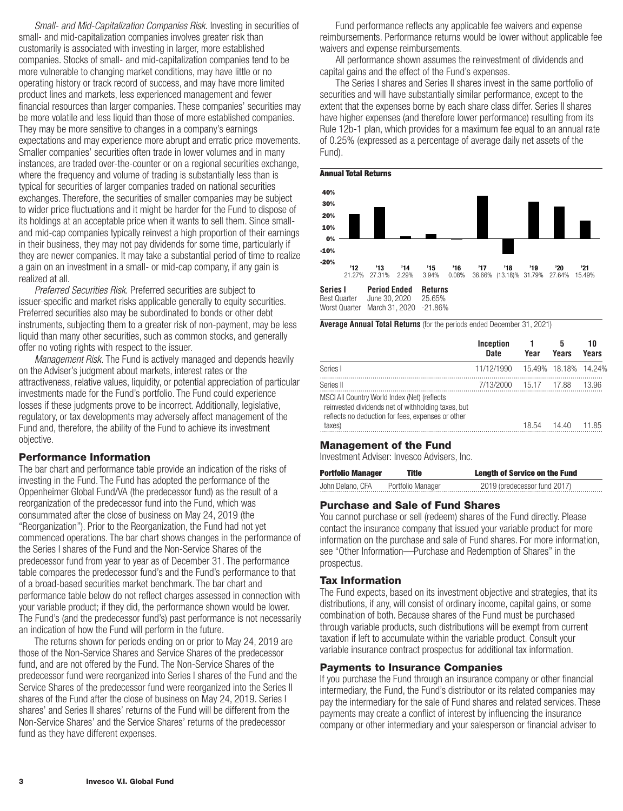*Small- and Mid-Capitalization Companies Risk.* Investing in securities of small- and mid-capitalization companies involves greater risk than customarily is associated with investing in larger, more established companies. Stocks of small- and mid-capitalization companies tend to be more vulnerable to changing market conditions, may have little or no operating history or track record of success, and may have more limited product lines and markets, less experienced management and fewer financial resources than larger companies. These companies' securities may be more volatile and less liquid than those of more established companies. They may be more sensitive to changes in a company's earnings expectations and may experience more abrupt and erratic price movements. Smaller companies' securities often trade in lower volumes and in many instances, are traded over-the-counter or on a regional securities exchange, where the frequency and volume of trading is substantially less than is typical for securities of larger companies traded on national securities exchanges. Therefore, the securities of smaller companies may be subject to wider price fluctuations and it might be harder for the Fund to dispose of its holdings at an acceptable price when it wants to sell them. Since smalland mid-cap companies typically reinvest a high proportion of their earnings in their business, they may not pay dividends for some time, particularly if they are newer companies. It may take a substantial period of time to realize a gain on an investment in a small- or mid-cap company, if any gain is realized at all.

*Preferred Securities Risk.* Preferred securities are subject to issuer-specific and market risks applicable generally to equity securities. Preferred securities also may be subordinated to bonds or other debt instruments, subjecting them to a greater risk of non-payment, may be less liquid than many other securities, such as common stocks, and generally offer no voting rights with respect to the issuer.

*Management Risk.* The Fund is actively managed and depends heavily on the Adviser's judgment about markets, interest rates or the attractiveness, relative values, liquidity, or potential appreciation of particular investments made for the Fund's portfolio. The Fund could experience losses if these judgments prove to be incorrect. Additionally, legislative, regulatory, or tax developments may adversely affect management of the Fund and, therefore, the ability of the Fund to achieve its investment objective.

#### **Performance Information**

The bar chart and performance table provide an indication of the risks of investing in the Fund. The Fund has adopted the performance of the Oppenheimer Global Fund/VA (the predecessor fund) as the result of a reorganization of the predecessor fund into the Fund, which was consummated after the close of business on May 24, 2019 (the "Reorganization"). Prior to the Reorganization, the Fund had not yet commenced operations. The bar chart shows changes in the performance of the Series I shares of the Fund and the Non-Service Shares of the predecessor fund from year to year as of December 31. The performance table compares the predecessor fund's and the Fund's performance to that of a broad-based securities market benchmark. The bar chart and performance table below do not reflect charges assessed in connection with your variable product; if they did, the performance shown would be lower. The Fund's (and the predecessor fund's) past performance is not necessarily an indication of how the Fund will perform in the future.

The returns shown for periods ending on or prior to May 24, 2019 are those of the Non-Service Shares and Service Shares of the predecessor fund, and are not offered by the Fund. The Non-Service Shares of the predecessor fund were reorganized into Series I shares of the Fund and the Service Shares of the predecessor fund were reorganized into the Series II shares of the Fund after the close of business on May 24, 2019. Series I shares' and Series II shares' returns of the Fund will be different from the Non-Service Shares' and the Service Shares' returns of the predecessor fund as they have different expenses.

Fund performance reflects any applicable fee waivers and expense reimbursements. Performance returns would be lower without applicable fee waivers and expense reimbursements.

All performance shown assumes the reinvestment of dividends and capital gains and the effect of the Fund's expenses.

The Series I shares and Series II shares invest in the same portfolio of securities and will have substantially similar performance, except to the extent that the expenses borne by each share class differ. Series II shares have higher expenses (and therefore lower performance) resulting from its Rule 12b-1 plan, which provides for a maximum fee equal to an annual rate of 0.25% (expressed as a percentage of average daily net assets of the Fund).





**Average Annual Total Returns** (for the periods ended December 31, 2021)

|                                                                                                                                                                                | <b>Inception</b><br>Date           | Year  | Years | 10<br>Years    |
|--------------------------------------------------------------------------------------------------------------------------------------------------------------------------------|------------------------------------|-------|-------|----------------|
| Series I                                                                                                                                                                       | 11/12/1990  15.49%  18.18%  14.24% |       |       |                |
| Series II<br>MSCI All Country World Index (Net) (reflects<br>reinvested dividends net of withholding taxes, but<br>reflects no deduction for fees, expenses or other<br>taxes) | 7/13/2000 15.17 17.88              | 18.54 | 14 40 | 13.96<br>11.85 |

#### **Management of the Fund**

Investment Adviser: Invesco Advisers, Inc.

| <b>Portfolio Manager</b> | Title             | <b>Length of Service on the Fund</b> |
|--------------------------|-------------------|--------------------------------------|
| John Delano, CFA         | Portfolio Manager | 2019 (predecessor fund 2017)         |

#### **Purchase and Sale of Fund Shares**

You cannot purchase or sell (redeem) shares of the Fund directly. Please contact the insurance company that issued your variable product for more information on the purchase and sale of Fund shares. For more information, see "Other Information—Purchase and Redemption of Shares" in the prospectus.

#### **Tax Information**

The Fund expects, based on its investment objective and strategies, that its distributions, if any, will consist of ordinary income, capital gains, or some combination of both. Because shares of the Fund must be purchased through variable products, such distributions will be exempt from current taxation if left to accumulate within the variable product. Consult your variable insurance contract prospectus for additional tax information.

#### **Payments to Insurance Companies**

If you purchase the Fund through an insurance company or other financial intermediary, the Fund, the Fund's distributor or its related companies may pay the intermediary for the sale of Fund shares and related services. These payments may create a conflict of interest by influencing the insurance company or other intermediary and your salesperson or financial adviser to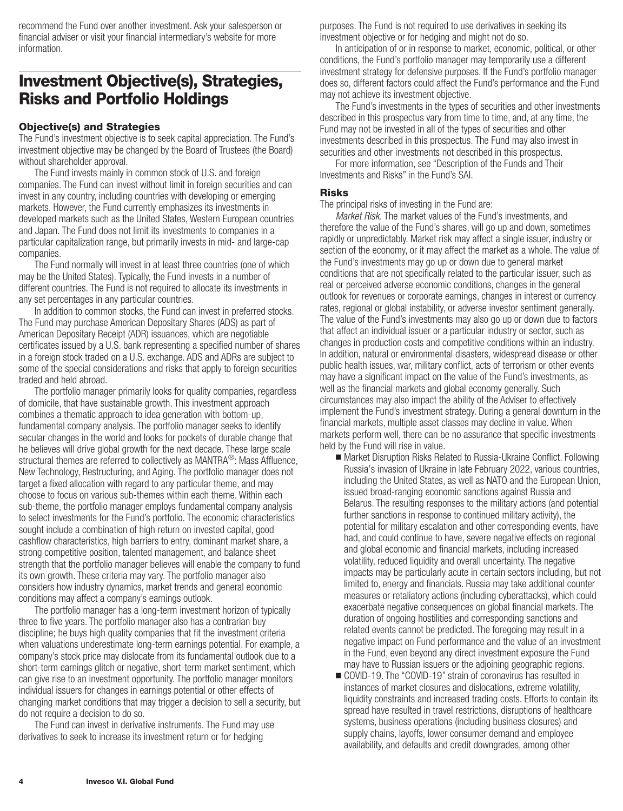<span id="page-5-0"></span>recommend the Fund over another investment. Ask your salesperson or financial adviser or visit your financial intermediary's website for more information.

## **Investment Objective(s), Strategies, Risks and Portfolio Holdings**

## **Objective(s) and Strategies**

The Fund's investment objective is to seek capital appreciation. The Fund's investment objective may be changed by the Board of Trustees (the Board) without shareholder approval.

The Fund invests mainly in common stock of U.S. and foreign companies. The Fund can invest without limit in foreign securities and can invest in any country, including countries with developing or emerging markets. However, the Fund currently emphasizes its investments in developed markets such as the United States, Western European countries and Japan. The Fund does not limit its investments to companies in a particular capitalization range, but primarily invests in mid- and large-cap companies.

The Fund normally will invest in at least three countries (one of which may be the United States). Typically, the Fund invests in a number of different countries. The Fund is not required to allocate its investments in any set percentages in any particular countries.

In addition to common stocks, the Fund can invest in preferred stocks. The Fund may purchase American Depositary Shares (ADS) as part of American Depositary Receipt (ADR) issuances, which are negotiable certificates issued by a U.S. bank representing a specified number of shares in a foreign stock traded on a U.S. exchange. ADS and ADRs are subject to some of the special considerations and risks that apply to foreign securities traded and held abroad.

The portfolio manager primarily looks for quality companies, regardless of domicile, that have sustainable growth. This investment approach combines a thematic approach to idea generation with bottom-up, fundamental company analysis. The portfolio manager seeks to identify secular changes in the world and looks for pockets of durable change that he believes will drive global growth for the next decade. These large scale structural themes are referred to collectively as MANTRA<sup>®</sup>: Mass Affluence, New Technology, Restructuring, and Aging. The portfolio manager does not target a fixed allocation with regard to any particular theme, and may choose to focus on various sub-themes within each theme. Within each sub-theme, the portfolio manager employs fundamental company analysis to select investments for the Fund's portfolio. The economic characteristics sought include a combination of high return on invested capital, good cashflow characteristics, high barriers to entry, dominant market share, a strong competitive position, talented management, and balance sheet strength that the portfolio manager believes will enable the company to fund its own growth. These criteria may vary. The portfolio manager also considers how industry dynamics, market trends and general economic conditions may affect a company's earnings outlook.

The portfolio manager has a long-term investment horizon of typically three to five years. The portfolio manager also has a contrarian buy discipline; he buys high quality companies that fit the investment criteria when valuations underestimate long-term earnings potential. For example, a company's stock price may dislocate from its fundamental outlook due to a short-term earnings glitch or negative, short-term market sentiment, which can give rise to an investment opportunity. The portfolio manager monitors individual issuers for changes in earnings potential or other effects of changing market conditions that may trigger a decision to sell a security, but do not require a decision to do so.

The Fund can invest in derivative instruments. The Fund may use derivatives to seek to increase its investment return or for hedging

purposes. The Fund is not required to use derivatives in seeking its investment objective or for hedging and might not do so.

In anticipation of or in response to market, economic, political, or other conditions, the Fund's portfolio manager may temporarily use a different investment strategy for defensive purposes. If the Fund's portfolio manager does so, different factors could affect the Fund's performance and the Fund may not achieve its investment objective.

The Fund's investments in the types of securities and other investments described in this prospectus vary from time to time, and, at any time, the Fund may not be invested in all of the types of securities and other investments described in this prospectus. The Fund may also invest in securities and other investments not described in this prospectus.

For more information, see "Description of the Funds and Their Investments and Risks" in the Fund's SAI.

#### **Risks**

The principal risks of investing in the Fund are:

*Market Risk.* The market values of the Fund's investments, and therefore the value of the Fund's shares, will go up and down, sometimes rapidly or unpredictably. Market risk may affect a single issuer, industry or section of the economy, or it may affect the market as a whole. The value of the Fund's investments may go up or down due to general market conditions that are not specifically related to the particular issuer, such as real or perceived adverse economic conditions, changes in the general outlook for revenues or corporate earnings, changes in interest or currency rates, regional or global instability, or adverse investor sentiment generally. The value of the Fund's investments may also go up or down due to factors that affect an individual issuer or a particular industry or sector, such as changes in production costs and competitive conditions within an industry. In addition, natural or environmental disasters, widespread disease or other public health issues, war, military conflict, acts of terrorism or other events may have a significant impact on the value of the Fund's investments, as well as the financial markets and global economy generally. Such circumstances may also impact the ability of the Adviser to effectively implement the Fund's investment strategy. During a general downturn in the financial markets, multiple asset classes may decline in value. When markets perform well, there can be no assurance that specific investments held by the Fund will rise in value.

- Market Disruption Risks Related to Russia-Ukraine Conflict. Following Russia's invasion of Ukraine in late February 2022, various countries, including the United States, as well as NATO and the European Union, issued broad-ranging economic sanctions against Russia and Belarus. The resulting responses to the military actions (and potential further sanctions in response to continued military activity), the potential for military escalation and other corresponding events, have had, and could continue to have, severe negative effects on regional and global economic and financial markets, including increased volatility, reduced liquidity and overall uncertainty. The negative impacts may be particularly acute in certain sectors including, but not limited to, energy and financials. Russia may take additional counter measures or retaliatory actions (including cyberattacks), which could exacerbate negative consequences on global financial markets. The duration of ongoing hostilities and corresponding sanctions and related events cannot be predicted. The foregoing may result in a negative impact on Fund performance and the value of an investment in the Fund, even beyond any direct investment exposure the Fund may have to Russian issuers or the adjoining geographic regions.
- COVID-19. The "COVID-19" strain of coronavirus has resulted in instances of market closures and dislocations, extreme volatility, liquidity constraints and increased trading costs. Efforts to contain its spread have resulted in travel restrictions, disruptions of healthcare systems, business operations (including business closures) and supply chains, layoffs, lower consumer demand and employee availability, and defaults and credit downgrades, among other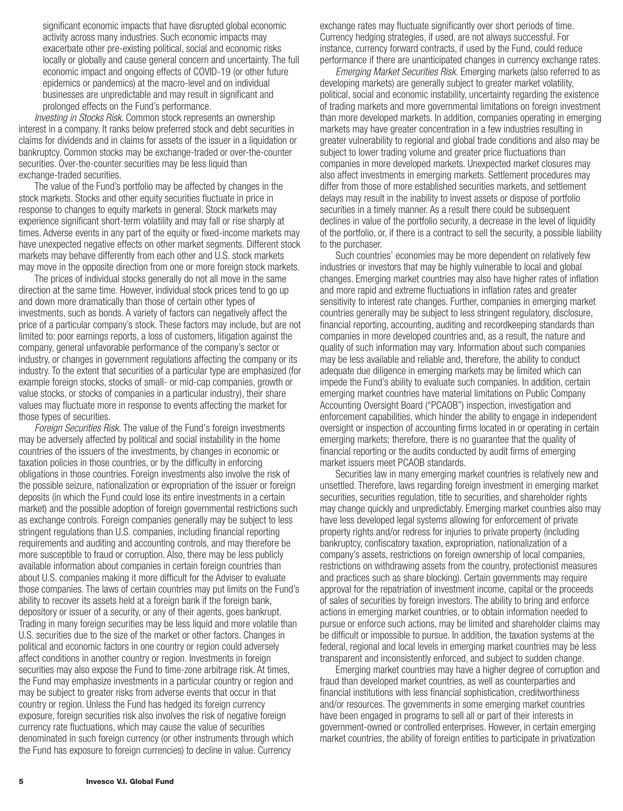significant economic impacts that have disrupted global economic activity across many industries. Such economic impacts may exacerbate other pre-existing political, social and economic risks locally or globally and cause general concern and uncertainty. The full economic impact and ongoing effects of COVID-19 (or other future epidemics or pandemics) at the macro-level and on individual businesses are unpredictable and may result in significant and prolonged effects on the Fund's performance.

*Investing in Stocks Risk*. Common stock represents an ownership interest in a company. It ranks below preferred stock and debt securities in claims for dividends and in claims for assets of the issuer in a liquidation or bankruptcy. Common stocks may be exchange-traded or over-the-counter securities. Over-the-counter securities may be less liquid than exchange-traded securities.

The value of the Fund's portfolio may be affected by changes in the stock markets. Stocks and other equity securities fluctuate in price in response to changes to equity markets in general. Stock markets may experience significant short-term volatility and may fall or rise sharply at times. Adverse events in any part of the equity or fixed-income markets may have unexpected negative effects on other market segments. Different stock markets may behave differently from each other and U.S. stock markets may move in the opposite direction from one or more foreign stock markets.

The prices of individual stocks generally do not all move in the same direction at the same time. However, individual stock prices tend to go up and down more dramatically than those of certain other types of investments, such as bonds. A variety of factors can negatively affect the price of a particular company's stock. These factors may include, but are not limited to: poor earnings reports, a loss of customers, litigation against the company, general unfavorable performance of the company's sector or industry, or changes in government regulations affecting the company or its industry. To the extent that securities of a particular type are emphasized (for example foreign stocks, stocks of small- or mid-cap companies, growth or value stocks, or stocks of companies in a particular industry), their share values may fluctuate more in response to events affecting the market for those types of securities.

*Foreign Securities Risk.* The value of the Fund's foreign investments may be adversely affected by political and social instability in the home countries of the issuers of the investments, by changes in economic or taxation policies in those countries, or by the difficulty in enforcing obligations in those countries. Foreign investments also involve the risk of the possible seizure, nationalization or expropriation of the issuer or foreign deposits (in which the Fund could lose its entire investments in a certain market) and the possible adoption of foreign governmental restrictions such as exchange controls. Foreign companies generally may be subject to less stringent regulations than U.S. companies, including financial reporting requirements and auditing and accounting controls, and may therefore be more susceptible to fraud or corruption. Also, there may be less publicly available information about companies in certain foreign countries than about U.S. companies making it more difficult for the Adviser to evaluate those companies. The laws of certain countries may put limits on the Fund's ability to recover its assets held at a foreign bank if the foreign bank, depository or issuer of a security, or any of their agents, goes bankrupt. Trading in many foreign securities may be less liquid and more volatile than U.S. securities due to the size of the market or other factors. Changes in political and economic factors in one country or region could adversely affect conditions in another country or region. Investments in foreign securities may also expose the Fund to time-zone arbitrage risk. At times, the Fund may emphasize investments in a particular country or region and may be subject to greater risks from adverse events that occur in that country or region. Unless the Fund has hedged its foreign currency exposure, foreign securities risk also involves the risk of negative foreign currency rate fluctuations, which may cause the value of securities denominated in such foreign currency (or other instruments through which the Fund has exposure to foreign currencies) to decline in value. Currency

exchange rates may fluctuate significantly over short periods of time. Currency hedging strategies, if used, are not always successful. For instance, currency forward contracts, if used by the Fund, could reduce performance if there are unanticipated changes in currency exchange rates.

*Emerging Market Securities Risk.* Emerging markets (also referred to as developing markets) are generally subject to greater market volatility, political, social and economic instability, uncertainty regarding the existence of trading markets and more governmental limitations on foreign investment than more developed markets. In addition, companies operating in emerging markets may have greater concentration in a few industries resulting in greater vulnerability to regional and global trade conditions and also may be subject to lower trading volume and greater price fluctuations than companies in more developed markets. Unexpected market closures may also affect investments in emerging markets. Settlement procedures may differ from those of more established securities markets, and settlement delays may result in the inability to invest assets or dispose of portfolio securities in a timely manner. As a result there could be subsequent declines in value of the portfolio security, a decrease in the level of liquidity of the portfolio, or, if there is a contract to sell the security, a possible liability to the purchaser.

Such countries' economies may be more dependent on relatively few industries or investors that may be highly vulnerable to local and global changes. Emerging market countries may also have higher rates of inflation and more rapid and extreme fluctuations in inflation rates and greater sensitivity to interest rate changes. Further, companies in emerging market countries generally may be subject to less stringent regulatory, disclosure, financial reporting, accounting, auditing and recordkeeping standards than companies in more developed countries and, as a result, the nature and quality of such information may vary. Information about such companies may be less available and reliable and, therefore, the ability to conduct adequate due diligence in emerging markets may be limited which can impede the Fund's ability to evaluate such companies. In addition, certain emerging market countries have material limitations on Public Company Accounting Oversight Board ("PCAOB") inspection, investigation and enforcement capabilities, which hinder the ability to engage in independent oversight or inspection of accounting firms located in or operating in certain emerging markets; therefore, there is no guarantee that the quality of financial reporting or the audits conducted by audit firms of emerging market issuers meet PCAOB standards.

Securities law in many emerging market countries is relatively new and unsettled. Therefore, laws regarding foreign investment in emerging market securities, securities regulation, title to securities, and shareholder rights may change quickly and unpredictably. Emerging market countries also may have less developed legal systems allowing for enforcement of private property rights and/or redress for injuries to private property (including bankruptcy, confiscatory taxation, expropriation, nationalization of a company's assets, restrictions on foreign ownership of local companies, restrictions on withdrawing assets from the country, protectionist measures and practices such as share blocking). Certain governments may require approval for the repatriation of investment income, capital or the proceeds of sales of securities by foreign investors. The ability to bring and enforce actions in emerging market countries, or to obtain information needed to pursue or enforce such actions, may be limited and shareholder claims may be difficult or impossible to pursue. In addition, the taxation systems at the federal, regional and local levels in emerging market countries may be less transparent and inconsistently enforced, and subject to sudden change.

Emerging market countries may have a higher degree of corruption and fraud than developed market countries, as well as counterparties and financial institutions with less financial sophistication, creditworthiness and/or resources. The governments in some emerging market countries have been engaged in programs to sell all or part of their interests in government-owned or controlled enterprises. However, in certain emerging market countries, the ability of foreign entities to participate in privatization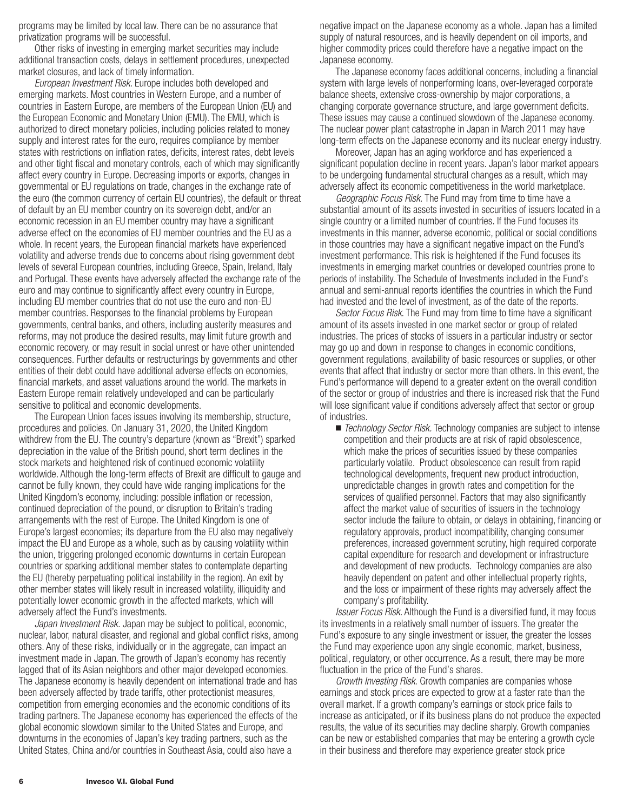programs may be limited by local law. There can be no assurance that privatization programs will be successful.

Other risks of investing in emerging market securities may include additional transaction costs, delays in settlement procedures, unexpected market closures, and lack of timely information.

*European Investment Risk.* Europe includes both developed and emerging markets. Most countries in Western Europe, and a number of countries in Eastern Europe, are members of the European Union (EU) and the European Economic and Monetary Union (EMU). The EMU, which is authorized to direct monetary policies, including policies related to money supply and interest rates for the euro, requires compliance by member states with restrictions on inflation rates, deficits, interest rates, debt levels and other tight fiscal and monetary controls, each of which may significantly affect every country in Europe. Decreasing imports or exports, changes in governmental or EU regulations on trade, changes in the exchange rate of the euro (the common currency of certain EU countries), the default or threat of default by an EU member country on its sovereign debt, and/or an economic recession in an EU member country may have a significant adverse effect on the economies of EU member countries and the EU as a whole. In recent years, the European financial markets have experienced volatility and adverse trends due to concerns about rising government debt levels of several European countries, including Greece, Spain, Ireland, Italy and Portugal. These events have adversely affected the exchange rate of the euro and may continue to significantly affect every country in Europe, including EU member countries that do not use the euro and non-EU member countries. Responses to the financial problems by European governments, central banks, and others, including austerity measures and reforms, may not produce the desired results, may limit future growth and economic recovery, or may result in social unrest or have other unintended consequences. Further defaults or restructurings by governments and other entities of their debt could have additional adverse effects on economies, financial markets, and asset valuations around the world. The markets in Eastern Europe remain relatively undeveloped and can be particularly sensitive to political and economic developments.

The European Union faces issues involving its membership, structure, procedures and policies. On January 31, 2020, the United Kingdom withdrew from the EU. The country's departure (known as "Brexit") sparked depreciation in the value of the British pound, short term declines in the stock markets and heightened risk of continued economic volatility worldwide. Although the long-term effects of Brexit are difficult to gauge and cannot be fully known, they could have wide ranging implications for the United Kingdom's economy, including: possible inflation or recession, continued depreciation of the pound, or disruption to Britain's trading arrangements with the rest of Europe. The United Kingdom is one of Europe's largest economies; its departure from the EU also may negatively impact the EU and Europe as a whole, such as by causing volatility within the union, triggering prolonged economic downturns in certain European countries or sparking additional member states to contemplate departing the EU (thereby perpetuating political instability in the region). An exit by other member states will likely result in increased volatility, illiquidity and potentially lower economic growth in the affected markets, which will adversely affect the Fund's investments.

*Japan Investment Risk.* Japan may be subject to political, economic, nuclear, labor, natural disaster, and regional and global conflict risks, among others. Any of these risks, individually or in the aggregate, can impact an investment made in Japan. The growth of Japan's economy has recently lagged that of its Asian neighbors and other major developed economies. The Japanese economy is heavily dependent on international trade and has been adversely affected by trade tariffs, other protectionist measures, competition from emerging economies and the economic conditions of its trading partners. The Japanese economy has experienced the effects of the global economic slowdown similar to the United States and Europe, and downturns in the economies of Japan's key trading partners, such as the United States, China and/or countries in Southeast Asia, could also have a

negative impact on the Japanese economy as a whole. Japan has a limited supply of natural resources, and is heavily dependent on oil imports, and higher commodity prices could therefore have a negative impact on the Japanese economy.

The Japanese economy faces additional concerns, including a financial system with large levels of nonperforming loans, over-leveraged corporate balance sheets, extensive cross-ownership by major corporations, a changing corporate governance structure, and large government deficits. These issues may cause a continued slowdown of the Japanese economy. The nuclear power plant catastrophe in Japan in March 2011 may have long-term effects on the Japanese economy and its nuclear energy industry.

Moreover, Japan has an aging workforce and has experienced a significant population decline in recent years. Japan's labor market appears to be undergoing fundamental structural changes as a result, which may adversely affect its economic competitiveness in the world marketplace.

*Geographic Focus Risk.* The Fund may from time to time have a substantial amount of its assets invested in securities of issuers located in a single country or a limited number of countries. If the Fund focuses its investments in this manner, adverse economic, political or social conditions in those countries may have a significant negative impact on the Fund's investment performance. This risk is heightened if the Fund focuses its investments in emerging market countries or developed countries prone to periods of instability. The Schedule of Investments included in the Fund's annual and semi-annual reports identifies the countries in which the Fund had invested and the level of investment, as of the date of the reports.

*Sector Focus Risk*. The Fund may from time to time have a significant amount of its assets invested in one market sector or group of related industries. The prices of stocks of issuers in a particular industry or sector may go up and down in response to changes in economic conditions, government regulations, availability of basic resources or supplies, or other events that affect that industry or sector more than others. In this event, the Fund's performance will depend to a greater extent on the overall condition of the sector or group of industries and there is increased risk that the Fund will lose significant value if conditions adversely affect that sector or group of industries.

■ *Technology Sector Risk.* Technology companies are subject to intense competition and their products are at risk of rapid obsolescence, which make the prices of securities issued by these companies particularly volatile. Product obsolescence can result from rapid technological developments, frequent new product introduction, unpredictable changes in growth rates and competition for the services of qualified personnel. Factors that may also significantly affect the market value of securities of issuers in the technology sector include the failure to obtain, or delays in obtaining, financing or regulatory approvals, product incompatibility, changing consumer preferences, increased government scrutiny, high required corporate capital expenditure for research and development or infrastructure and development of new products. Technology companies are also heavily dependent on patent and other intellectual property rights, and the loss or impairment of these rights may adversely affect the company's profitability.

*Issuer Focus Risk*. Although the Fund is a diversified fund, it may focus its investments in a relatively small number of issuers. The greater the Fund's exposure to any single investment or issuer, the greater the losses the Fund may experience upon any single economic, market, business, political, regulatory, or other occurrence. As a result, there may be more fluctuation in the price of the Fund's shares.

*Growth Investing Risk*. Growth companies are companies whose earnings and stock prices are expected to grow at a faster rate than the overall market. If a growth company's earnings or stock price fails to increase as anticipated, or if its business plans do not produce the expected results, the value of its securities may decline sharply. Growth companies can be new or established companies that may be entering a growth cycle in their business and therefore may experience greater stock price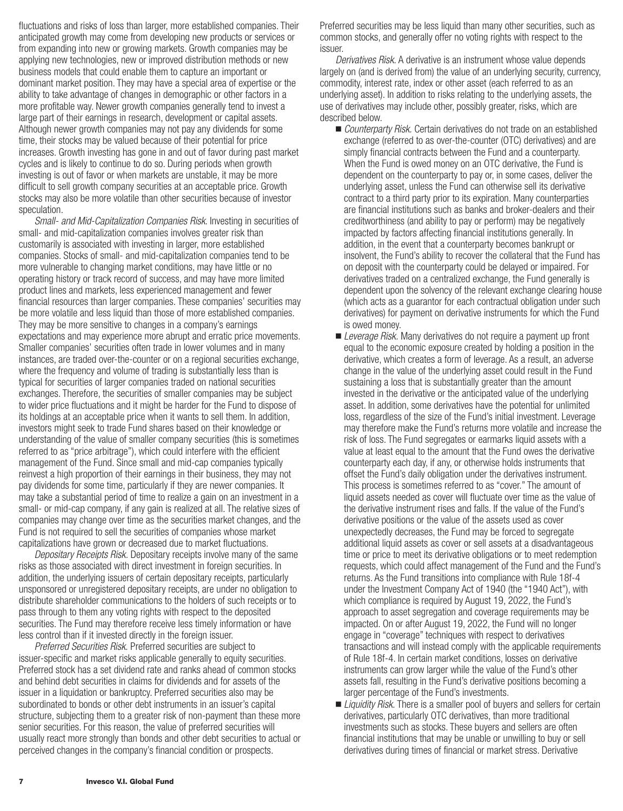fluctuations and risks of loss than larger, more established companies. Their anticipated growth may come from developing new products or services or from expanding into new or growing markets. Growth companies may be applying new technologies, new or improved distribution methods or new business models that could enable them to capture an important or dominant market position. They may have a special area of expertise or the ability to take advantage of changes in demographic or other factors in a more profitable way. Newer growth companies generally tend to invest a large part of their earnings in research, development or capital assets. Although newer growth companies may not pay any dividends for some time, their stocks may be valued because of their potential for price increases. Growth investing has gone in and out of favor during past market cycles and is likely to continue to do so. During periods when growth investing is out of favor or when markets are unstable, it may be more difficult to sell growth company securities at an acceptable price. Growth stocks may also be more volatile than other securities because of investor speculation.

*Small- and Mid-Capitalization Companies Risk*. Investing in securities of small- and mid-capitalization companies involves greater risk than customarily is associated with investing in larger, more established companies. Stocks of small- and mid-capitalization companies tend to be more vulnerable to changing market conditions, may have little or no operating history or track record of success, and may have more limited product lines and markets, less experienced management and fewer financial resources than larger companies. These companies' securities may be more volatile and less liquid than those of more established companies. They may be more sensitive to changes in a company's earnings expectations and may experience more abrupt and erratic price movements. Smaller companies' securities often trade in lower volumes and in many instances, are traded over-the-counter or on a regional securities exchange, where the frequency and volume of trading is substantially less than is typical for securities of larger companies traded on national securities exchanges. Therefore, the securities of smaller companies may be subject to wider price fluctuations and it might be harder for the Fund to dispose of its holdings at an acceptable price when it wants to sell them. In addition, investors might seek to trade Fund shares based on their knowledge or understanding of the value of smaller company securities (this is sometimes referred to as "price arbitrage"), which could interfere with the efficient management of the Fund. Since small and mid-cap companies typically reinvest a high proportion of their earnings in their business, they may not pay dividends for some time, particularly if they are newer companies. It may take a substantial period of time to realize a gain on an investment in a small- or mid-cap company, if any gain is realized at all. The relative sizes of companies may change over time as the securities market changes, and the Fund is not required to sell the securities of companies whose market capitalizations have grown or decreased due to market fluctuations.

*Depositary Receipts Risk.* Depositary receipts involve many of the same risks as those associated with direct investment in foreign securities. In addition, the underlying issuers of certain depositary receipts, particularly unsponsored or unregistered depositary receipts, are under no obligation to distribute shareholder communications to the holders of such receipts or to pass through to them any voting rights with respect to the deposited securities. The Fund may therefore receive less timely information or have less control than if it invested directly in the foreign issuer.

*Preferred Securities Risk.* Preferred securities are subject to issuer-specific and market risks applicable generally to equity securities. Preferred stock has a set dividend rate and ranks ahead of common stocks and behind debt securities in claims for dividends and for assets of the issuer in a liquidation or bankruptcy. Preferred securities also may be subordinated to bonds or other debt instruments in an issuer's capital structure, subjecting them to a greater risk of non-payment than these more senior securities. For this reason, the value of preferred securities will usually react more strongly than bonds and other debt securities to actual or perceived changes in the company's financial condition or prospects.

Preferred securities may be less liquid than many other securities, such as common stocks, and generally offer no voting rights with respect to the issuer.

*Derivatives Risk.* A derivative is an instrument whose value depends largely on (and is derived from) the value of an underlying security, currency, commodity, interest rate, index or other asset (each referred to as an underlying asset). In addition to risks relating to the underlying assets, the use of derivatives may include other, possibly greater, risks, which are described below.

- *Counterparty Risk.* Certain derivatives do not trade on an established exchange (referred to as over-the-counter (OTC) derivatives) and are simply financial contracts between the Fund and a counterparty. When the Fund is owed money on an OTC derivative, the Fund is dependent on the counterparty to pay or, in some cases, deliver the underlying asset, unless the Fund can otherwise sell its derivative contract to a third party prior to its expiration. Many counterparties are financial institutions such as banks and broker-dealers and their creditworthiness (and ability to pay or perform) may be negatively impacted by factors affecting financial institutions generally. In addition, in the event that a counterparty becomes bankrupt or insolvent, the Fund's ability to recover the collateral that the Fund has on deposit with the counterparty could be delayed or impaired. For derivatives traded on a centralized exchange, the Fund generally is dependent upon the solvency of the relevant exchange clearing house (which acts as a guarantor for each contractual obligation under such derivatives) for payment on derivative instruments for which the Fund is owed money.
- *Leverage Risk.* Many derivatives do not require a payment up front equal to the economic exposure created by holding a position in the derivative, which creates a form of leverage. As a result, an adverse change in the value of the underlying asset could result in the Fund sustaining a loss that is substantially greater than the amount invested in the derivative or the anticipated value of the underlying asset. In addition, some derivatives have the potential for unlimited loss, regardless of the size of the Fund's initial investment. Leverage may therefore make the Fund's returns more volatile and increase the risk of loss. The Fund segregates or earmarks liquid assets with a value at least equal to the amount that the Fund owes the derivative counterparty each day, if any, or otherwise holds instruments that offset the Fund's daily obligation under the derivatives instrument. This process is sometimes referred to as "cover." The amount of liquid assets needed as cover will fluctuate over time as the value of the derivative instrument rises and falls. If the value of the Fund's derivative positions or the value of the assets used as cover unexpectedly decreases, the Fund may be forced to segregate additional liquid assets as cover or sell assets at a disadvantageous time or price to meet its derivative obligations or to meet redemption requests, which could affect management of the Fund and the Fund's returns. As the Fund transitions into compliance with Rule 18f-4 under the Investment Company Act of 1940 (the "1940 Act"), with which compliance is required by August 19, 2022, the Fund's approach to asset segregation and coverage requirements may be impacted. On or after August 19, 2022, the Fund will no longer engage in "coverage" techniques with respect to derivatives transactions and will instead comply with the applicable requirements of Rule 18f-4. In certain market conditions, losses on derivative instruments can grow larger while the value of the Fund's other assets fall, resulting in the Fund's derivative positions becoming a larger percentage of the Fund's investments.
- *Liquidity Risk.* There is a smaller pool of buyers and sellers for certain derivatives, particularly OTC derivatives, than more traditional investments such as stocks. These buyers and sellers are often financial institutions that may be unable or unwilling to buy or sell derivatives during times of financial or market stress. Derivative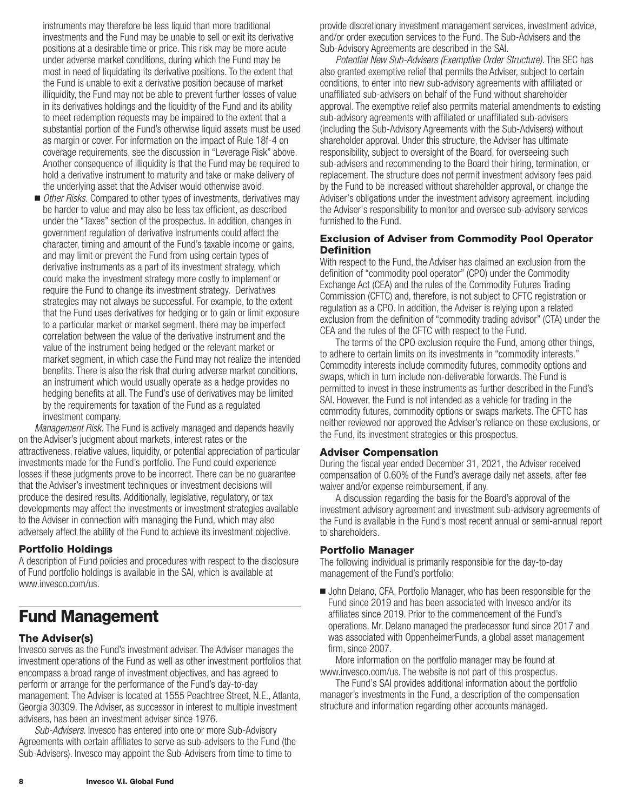<span id="page-9-0"></span>instruments may therefore be less liquid than more traditional investments and the Fund may be unable to sell or exit its derivative positions at a desirable time or price. This risk may be more acute under adverse market conditions, during which the Fund may be most in need of liquidating its derivative positions. To the extent that the Fund is unable to exit a derivative position because of market illiquidity, the Fund may not be able to prevent further losses of value in its derivatives holdings and the liquidity of the Fund and its ability to meet redemption requests may be impaired to the extent that a substantial portion of the Fund's otherwise liquid assets must be used as margin or cover. For information on the impact of Rule 18f-4 on coverage requirements, see the discussion in "Leverage Risk" above. Another consequence of illiquidity is that the Fund may be required to hold a derivative instrument to maturity and take or make delivery of the underlying asset that the Adviser would otherwise avoid.

■ *Other Risks.* Compared to other types of investments, derivatives may be harder to value and may also be less tax efficient, as described under the "Taxes" section of the prospectus. In addition, changes in government regulation of derivative instruments could affect the character, timing and amount of the Fund's taxable income or gains, and may limit or prevent the Fund from using certain types of derivative instruments as a part of its investment strategy, which could make the investment strategy more costly to implement or require the Fund to change its investment strategy. Derivatives strategies may not always be successful. For example, to the extent that the Fund uses derivatives for hedging or to gain or limit exposure to a particular market or market segment, there may be imperfect correlation between the value of the derivative instrument and the value of the instrument being hedged or the relevant market or market segment, in which case the Fund may not realize the intended benefits. There is also the risk that during adverse market conditions, an instrument which would usually operate as a hedge provides no hedging benefits at all. The Fund's use of derivatives may be limited by the requirements for taxation of the Fund as a regulated investment company.

*Management Risk.* The Fund is actively managed and depends heavily on the Adviser's judgment about markets, interest rates or the attractiveness, relative values, liquidity, or potential appreciation of particular investments made for the Fund's portfolio. The Fund could experience losses if these judgments prove to be incorrect. There can be no guarantee that the Adviser's investment techniques or investment decisions will produce the desired results. Additionally, legislative, regulatory, or tax developments may affect the investments or investment strategies available to the Adviser in connection with managing the Fund, which may also adversely affect the ability of the Fund to achieve its investment objective.

### **Portfolio Holdings**

A description of Fund policies and procedures with respect to the disclosure of Fund portfolio holdings is available in the SAI, which is available at www.invesco.com/us.

# **Fund Management**

### **The Adviser(s)**

Invesco serves as the Fund's investment adviser. The Adviser manages the investment operations of the Fund as well as other investment portfolios that encompass a broad range of investment objectives, and has agreed to perform or arrange for the performance of the Fund's day-to-day management. The Adviser is located at 1555 Peachtree Street, N.E., Atlanta, Georgia 30309. The Adviser, as successor in interest to multiple investment advisers, has been an investment adviser since 1976.

*Sub-Advisers*. Invesco has entered into one or more Sub-Advisory Agreements with certain affiliates to serve as sub-advisers to the Fund (the Sub-Advisers). Invesco may appoint the Sub-Advisers from time to time to

provide discretionary investment management services, investment advice, and/or order execution services to the Fund. The Sub-Advisers and the Sub-Advisory Agreements are described in the SAI.

*Potential New Sub-Advisers (Exemptive Order Structure)*. The SEC has also granted exemptive relief that permits the Adviser, subject to certain conditions, to enter into new sub-advisory agreements with affiliated or unaffiliated sub-advisers on behalf of the Fund without shareholder approval. The exemptive relief also permits material amendments to existing sub-advisory agreements with affiliated or unaffiliated sub-advisers (including the Sub-Advisory Agreements with the Sub-Advisers) without shareholder approval. Under this structure, the Adviser has ultimate responsibility, subject to oversight of the Board, for overseeing such sub-advisers and recommending to the Board their hiring, termination, or replacement. The structure does not permit investment advisory fees paid by the Fund to be increased without shareholder approval, or change the Adviser's obligations under the investment advisory agreement, including the Adviser's responsibility to monitor and oversee sub-advisory services furnished to the Fund.

## **Exclusion of Adviser from Commodity Pool Operator Definition**

With respect to the Fund, the Adviser has claimed an exclusion from the definition of "commodity pool operator" (CPO) under the Commodity Exchange Act (CEA) and the rules of the Commodity Futures Trading Commission (CFTC) and, therefore, is not subject to CFTC registration or regulation as a CPO. In addition, the Adviser is relying upon a related exclusion from the definition of "commodity trading advisor" (CTA) under the CEA and the rules of the CFTC with respect to the Fund.

The terms of the CPO exclusion require the Fund, among other things, to adhere to certain limits on its investments in "commodity interests." Commodity interests include commodity futures, commodity options and swaps, which in turn include non-deliverable forwards. The Fund is permitted to invest in these instruments as further described in the Fund's SAI. However, the Fund is not intended as a vehicle for trading in the commodity futures, commodity options or swaps markets. The CFTC has neither reviewed nor approved the Adviser's reliance on these exclusions, or the Fund, its investment strategies or this prospectus.

## **Adviser Compensation**

During the fiscal year ended December 31, 2021, the Adviser received compensation of 0.60% of the Fund's average daily net assets, after fee waiver and/or expense reimbursement, if any.

A discussion regarding the basis for the Board's approval of the investment advisory agreement and investment sub-advisory agreements of the Fund is available in the Fund's most recent annual or semi-annual report to shareholders.

## **Portfolio Manager**

The following individual is primarily responsible for the day-to-day management of the Fund's portfolio:

■ John Delano, CFA, Portfolio Manager, who has been responsible for the Fund since 2019 and has been associated with Invesco and/or its affiliates since 2019. Prior to the commencement of the Fund's operations, Mr. Delano managed the predecessor fund since 2017 and was associated with OppenheimerFunds, a global asset management firm, since 2007.

More information on the portfolio manager may be found at www.invesco.com/us. The website is not part of this prospectus.

The Fund's SAI provides additional information about the portfolio manager's investments in the Fund, a description of the compensation structure and information regarding other accounts managed.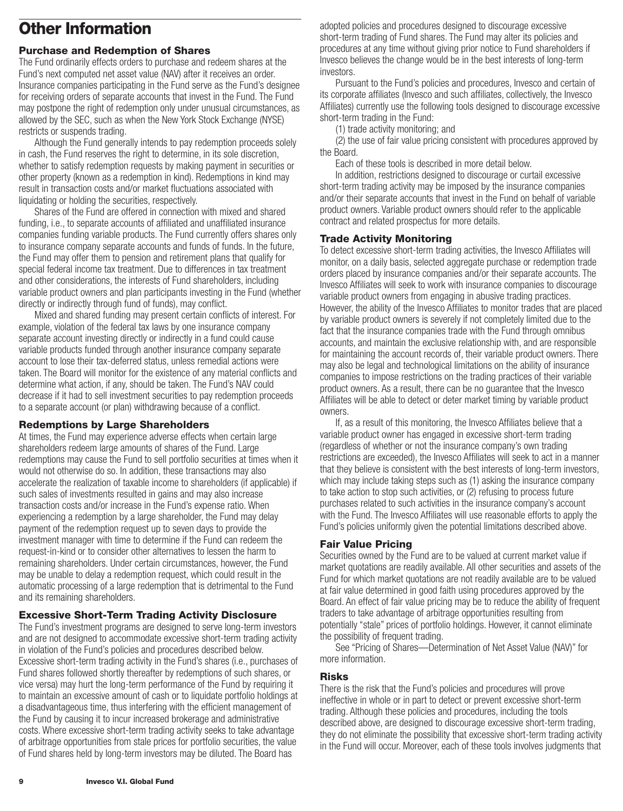# <span id="page-10-0"></span>**Other Information**

## **Purchase and Redemption of Shares**

The Fund ordinarily effects orders to purchase and redeem shares at the Fund's next computed net asset value (NAV) after it receives an order. Insurance companies participating in the Fund serve as the Fund's designee for receiving orders of separate accounts that invest in the Fund. The Fund may postpone the right of redemption only under unusual circumstances, as allowed by the SEC, such as when the New York Stock Exchange (NYSE) restricts or suspends trading.

Although the Fund generally intends to pay redemption proceeds solely in cash, the Fund reserves the right to determine, in its sole discretion, whether to satisfy redemption requests by making payment in securities or other property (known as a redemption in kind). Redemptions in kind may result in transaction costs and/or market fluctuations associated with liquidating or holding the securities, respectively.

Shares of the Fund are offered in connection with mixed and shared funding, i.e., to separate accounts of affiliated and unaffiliated insurance companies funding variable products. The Fund currently offers shares only to insurance company separate accounts and funds of funds. In the future, the Fund may offer them to pension and retirement plans that qualify for special federal income tax treatment. Due to differences in tax treatment and other considerations, the interests of Fund shareholders, including variable product owners and plan participants investing in the Fund (whether directly or indirectly through fund of funds), may conflict.

Mixed and shared funding may present certain conflicts of interest. For example, violation of the federal tax laws by one insurance company separate account investing directly or indirectly in a fund could cause variable products funded through another insurance company separate account to lose their tax-deferred status, unless remedial actions were taken. The Board will monitor for the existence of any material conflicts and determine what action, if any, should be taken. The Fund's NAV could decrease if it had to sell investment securities to pay redemption proceeds to a separate account (or plan) withdrawing because of a conflict.

## **Redemptions by Large Shareholders**

At times, the Fund may experience adverse effects when certain large shareholders redeem large amounts of shares of the Fund. Large redemptions may cause the Fund to sell portfolio securities at times when it would not otherwise do so. In addition, these transactions may also accelerate the realization of taxable income to shareholders (if applicable) if such sales of investments resulted in gains and may also increase transaction costs and/or increase in the Fund's expense ratio. When experiencing a redemption by a large shareholder, the Fund may delay payment of the redemption request up to seven days to provide the investment manager with time to determine if the Fund can redeem the request-in-kind or to consider other alternatives to lessen the harm to remaining shareholders. Under certain circumstances, however, the Fund may be unable to delay a redemption request, which could result in the automatic processing of a large redemption that is detrimental to the Fund and its remaining shareholders.

## **Excessive Short-Term Trading Activity Disclosure**

The Fund's investment programs are designed to serve long-term investors and are not designed to accommodate excessive short-term trading activity in violation of the Fund's policies and procedures described below. Excessive short-term trading activity in the Fund's shares (i.e., purchases of Fund shares followed shortly thereafter by redemptions of such shares, or vice versa) may hurt the long-term performance of the Fund by requiring it to maintain an excessive amount of cash or to liquidate portfolio holdings at a disadvantageous time, thus interfering with the efficient management of the Fund by causing it to incur increased brokerage and administrative costs. Where excessive short-term trading activity seeks to take advantage of arbitrage opportunities from stale prices for portfolio securities, the value of Fund shares held by long-term investors may be diluted. The Board has

adopted policies and procedures designed to discourage excessive short-term trading of Fund shares. The Fund may alter its policies and procedures at any time without giving prior notice to Fund shareholders if Invesco believes the change would be in the best interests of long-term investors.

Pursuant to the Fund's policies and procedures, Invesco and certain of its corporate affiliates (Invesco and such affiliates, collectively, the Invesco Affiliates) currently use the following tools designed to discourage excessive short-term trading in the Fund:

(1) trade activity monitoring; and

(2) the use of fair value pricing consistent with procedures approved by the Board.

Each of these tools is described in more detail below.

In addition, restrictions designed to discourage or curtail excessive short-term trading activity may be imposed by the insurance companies and/or their separate accounts that invest in the Fund on behalf of variable product owners. Variable product owners should refer to the applicable contract and related prospectus for more details.

## **Trade Activity Monitoring**

To detect excessive short-term trading activities, the Invesco Affiliates will monitor, on a daily basis, selected aggregate purchase or redemption trade orders placed by insurance companies and/or their separate accounts. The Invesco Affiliates will seek to work with insurance companies to discourage variable product owners from engaging in abusive trading practices. However, the ability of the Invesco Affiliates to monitor trades that are placed by variable product owners is severely if not completely limited due to the fact that the insurance companies trade with the Fund through omnibus accounts, and maintain the exclusive relationship with, and are responsible for maintaining the account records of, their variable product owners. There may also be legal and technological limitations on the ability of insurance companies to impose restrictions on the trading practices of their variable product owners. As a result, there can be no guarantee that the Invesco Affiliates will be able to detect or deter market timing by variable product owners.

If, as a result of this monitoring, the Invesco Affiliates believe that a variable product owner has engaged in excessive short-term trading (regardless of whether or not the insurance company's own trading restrictions are exceeded), the Invesco Affiliates will seek to act in a manner that they believe is consistent with the best interests of long-term investors, which may include taking steps such as (1) asking the insurance company to take action to stop such activities, or (2) refusing to process future purchases related to such activities in the insurance company's account with the Fund. The Invesco Affiliates will use reasonable efforts to apply the Fund's policies uniformly given the potential limitations described above.

## **Fair Value Pricing**

Securities owned by the Fund are to be valued at current market value if market quotations are readily available. All other securities and assets of the Fund for which market quotations are not readily available are to be valued at fair value determined in good faith using procedures approved by the Board. An effect of fair value pricing may be to reduce the ability of frequent traders to take advantage of arbitrage opportunities resulting from potentially "stale" prices of portfolio holdings. However, it cannot eliminate the possibility of frequent trading.

See "Pricing of Shares—Determination of Net Asset Value (NAV)" for more information.

## **Risks**

There is the risk that the Fund's policies and procedures will prove ineffective in whole or in part to detect or prevent excessive short-term trading. Although these policies and procedures, including the tools described above, are designed to discourage excessive short-term trading, they do not eliminate the possibility that excessive short-term trading activity in the Fund will occur. Moreover, each of these tools involves judgments that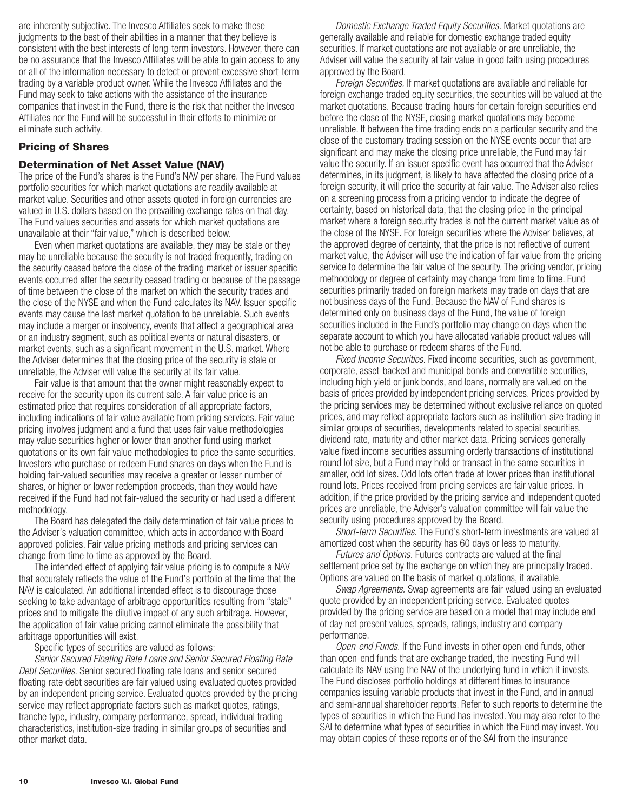<span id="page-11-0"></span>are inherently subjective. The Invesco Affiliates seek to make these judgments to the best of their abilities in a manner that they believe is consistent with the best interests of long-term investors. However, there can be no assurance that the Invesco Affiliates will be able to gain access to any or all of the information necessary to detect or prevent excessive short-term trading by a variable product owner. While the Invesco Affiliates and the Fund may seek to take actions with the assistance of the insurance companies that invest in the Fund, there is the risk that neither the Invesco Affiliates nor the Fund will be successful in their efforts to minimize or eliminate such activity.

## **Pricing of Shares**

### **Determination of Net Asset Value (NAV)**

The price of the Fund's shares is the Fund's NAV per share. The Fund values portfolio securities for which market quotations are readily available at market value. Securities and other assets quoted in foreign currencies are valued in U.S. dollars based on the prevailing exchange rates on that day. The Fund values securities and assets for which market quotations are unavailable at their "fair value," which is described below.

Even when market quotations are available, they may be stale or they may be unreliable because the security is not traded frequently, trading on the security ceased before the close of the trading market or issuer specific events occurred after the security ceased trading or because of the passage of time between the close of the market on which the security trades and the close of the NYSE and when the Fund calculates its NAV. Issuer specific events may cause the last market quotation to be unreliable. Such events may include a merger or insolvency, events that affect a geographical area or an industry segment, such as political events or natural disasters, or market events, such as a significant movement in the U.S. market. Where the Adviser determines that the closing price of the security is stale or unreliable, the Adviser will value the security at its fair value.

Fair value is that amount that the owner might reasonably expect to receive for the security upon its current sale. A fair value price is an estimated price that requires consideration of all appropriate factors, including indications of fair value available from pricing services. Fair value pricing involves judgment and a fund that uses fair value methodologies may value securities higher or lower than another fund using market quotations or its own fair value methodologies to price the same securities. Investors who purchase or redeem Fund shares on days when the Fund is holding fair-valued securities may receive a greater or lesser number of shares, or higher or lower redemption proceeds, than they would have received if the Fund had not fair-valued the security or had used a different methodology.

The Board has delegated the daily determination of fair value prices to the Adviser's valuation committee, which acts in accordance with Board approved policies. Fair value pricing methods and pricing services can change from time to time as approved by the Board.

The intended effect of applying fair value pricing is to compute a NAV that accurately reflects the value of the Fund's portfolio at the time that the NAV is calculated. An additional intended effect is to discourage those seeking to take advantage of arbitrage opportunities resulting from "stale" prices and to mitigate the dilutive impact of any such arbitrage. However, the application of fair value pricing cannot eliminate the possibility that arbitrage opportunities will exist.

Specific types of securities are valued as follows:

*Senior Secured Floating Rate Loans and Senior Secured Floating Rate Debt Securities.* Senior secured floating rate loans and senior secured floating rate debt securities are fair valued using evaluated quotes provided by an independent pricing service. Evaluated quotes provided by the pricing service may reflect appropriate factors such as market quotes, ratings, tranche type, industry, company performance, spread, individual trading characteristics, institution-size trading in similar groups of securities and other market data.

*Domestic Exchange Traded Equity Securities.* Market quotations are generally available and reliable for domestic exchange traded equity securities. If market quotations are not available or are unreliable, the Adviser will value the security at fair value in good faith using procedures approved by the Board.

*Foreign Securities.* If market quotations are available and reliable for foreign exchange traded equity securities, the securities will be valued at the market quotations. Because trading hours for certain foreign securities end before the close of the NYSE, closing market quotations may become unreliable. If between the time trading ends on a particular security and the close of the customary trading session on the NYSE events occur that are significant and may make the closing price unreliable, the Fund may fair value the security. If an issuer specific event has occurred that the Adviser determines, in its judgment, is likely to have affected the closing price of a foreign security, it will price the security at fair value. The Adviser also relies on a screening process from a pricing vendor to indicate the degree of certainty, based on historical data, that the closing price in the principal market where a foreign security trades is not the current market value as of the close of the NYSE. For foreign securities where the Adviser believes, at the approved degree of certainty, that the price is not reflective of current market value, the Adviser will use the indication of fair value from the pricing service to determine the fair value of the security. The pricing vendor, pricing methodology or degree of certainty may change from time to time. Fund securities primarily traded on foreign markets may trade on days that are not business days of the Fund. Because the NAV of Fund shares is determined only on business days of the Fund, the value of foreign securities included in the Fund's portfolio may change on days when the separate account to which you have allocated variable product values will not be able to purchase or redeem shares of the Fund.

*Fixed Income Securities.* Fixed income securities, such as government, corporate, asset-backed and municipal bonds and convertible securities, including high yield or junk bonds, and loans, normally are valued on the basis of prices provided by independent pricing services. Prices provided by the pricing services may be determined without exclusive reliance on quoted prices, and may reflect appropriate factors such as institution-size trading in similar groups of securities, developments related to special securities, dividend rate, maturity and other market data. Pricing services generally value fixed income securities assuming orderly transactions of institutional round lot size, but a Fund may hold or transact in the same securities in smaller, odd lot sizes. Odd lots often trade at lower prices than institutional round lots. Prices received from pricing services are fair value prices. In addition, if the price provided by the pricing service and independent quoted prices are unreliable, the Adviser's valuation committee will fair value the security using procedures approved by the Board.

*Short-term Securities.* The Fund's short-term investments are valued at amortized cost when the security has 60 days or less to maturity.

*Futures and Options.* Futures contracts are valued at the final settlement price set by the exchange on which they are principally traded. Options are valued on the basis of market quotations, if available.

*Swap Agreements.* Swap agreements are fair valued using an evaluated quote provided by an independent pricing service. Evaluated quotes provided by the pricing service are based on a model that may include end of day net present values, spreads, ratings, industry and company performance.

*Open-end Funds.* If the Fund invests in other open-end funds, other than open-end funds that are exchange traded, the investing Fund will calculate its NAV using the NAV of the underlying fund in which it invests. The Fund discloses portfolio holdings at different times to insurance companies issuing variable products that invest in the Fund, and in annual and semi-annual shareholder reports. Refer to such reports to determine the types of securities in which the Fund has invested. You may also refer to the SAI to determine what types of securities in which the Fund may invest. You may obtain copies of these reports or of the SAI from the insurance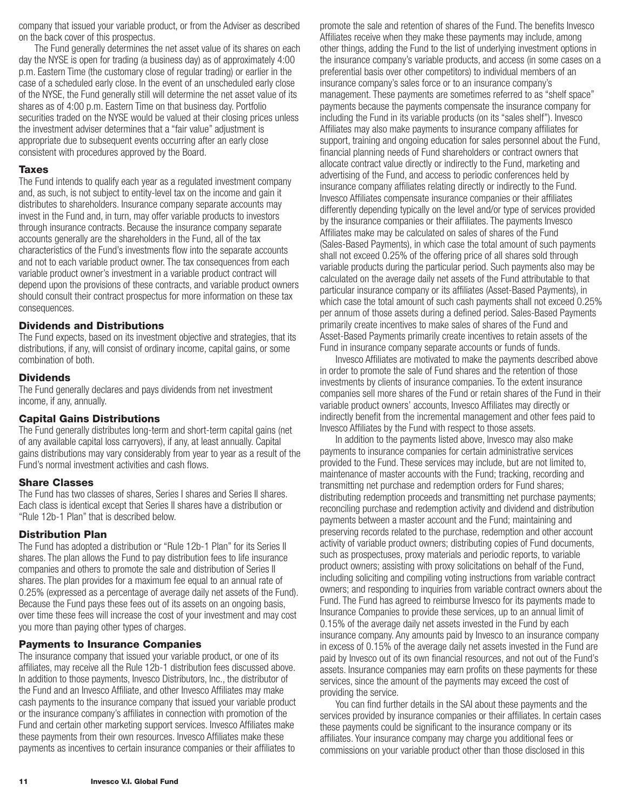<span id="page-12-0"></span>company that issued your variable product, or from the Adviser as described on the back cover of this prospectus.

The Fund generally determines the net asset value of its shares on each day the NYSE is open for trading (a business day) as of approximately 4:00 p.m. Eastern Time (the customary close of regular trading) or earlier in the case of a scheduled early close. In the event of an unscheduled early close of the NYSE, the Fund generally still will determine the net asset value of its shares as of 4:00 p.m. Eastern Time on that business day. Portfolio securities traded on the NYSE would be valued at their closing prices unless the investment adviser determines that a "fair value" adjustment is appropriate due to subsequent events occurring after an early close consistent with procedures approved by the Board.

#### **Taxes**

The Fund intends to qualify each year as a regulated investment company and, as such, is not subject to entity-level tax on the income and gain it distributes to shareholders. Insurance company separate accounts may invest in the Fund and, in turn, may offer variable products to investors through insurance contracts. Because the insurance company separate accounts generally are the shareholders in the Fund, all of the tax characteristics of the Fund's investments flow into the separate accounts and not to each variable product owner. The tax consequences from each variable product owner's investment in a variable product contract will depend upon the provisions of these contracts, and variable product owners should consult their contract prospectus for more information on these tax consequences.

### **Dividends and Distributions**

The Fund expects, based on its investment objective and strategies, that its distributions, if any, will consist of ordinary income, capital gains, or some combination of both.

#### **Dividends**

The Fund generally declares and pays dividends from net investment income, if any, annually.

### **Capital Gains Distributions**

The Fund generally distributes long-term and short-term capital gains (net of any available capital loss carryovers), if any, at least annually. Capital gains distributions may vary considerably from year to year as a result of the Fund's normal investment activities and cash flows.

## **Share Classes**

The Fund has two classes of shares, Series I shares and Series II shares. Each class is identical except that Series II shares have a distribution or "Rule 12b-1 Plan" that is described below.

### **Distribution Plan**

The Fund has adopted a distribution or "Rule 12b-1 Plan" for its Series II shares. The plan allows the Fund to pay distribution fees to life insurance companies and others to promote the sale and distribution of Series II shares. The plan provides for a maximum fee equal to an annual rate of 0.25% (expressed as a percentage of average daily net assets of the Fund). Because the Fund pays these fees out of its assets on an ongoing basis, over time these fees will increase the cost of your investment and may cost you more than paying other types of charges.

### **Payments to Insurance Companies**

The insurance company that issued your variable product, or one of its affiliates, may receive all the Rule 12b-1 distribution fees discussed above. In addition to those payments, Invesco Distributors, Inc., the distributor of the Fund and an Invesco Affiliate, and other Invesco Affiliates may make cash payments to the insurance company that issued your variable product or the insurance company's affiliates in connection with promotion of the Fund and certain other marketing support services. Invesco Affiliates make these payments from their own resources. Invesco Affiliates make these payments as incentives to certain insurance companies or their affiliates to

promote the sale and retention of shares of the Fund. The benefits Invesco Affiliates receive when they make these payments may include, among other things, adding the Fund to the list of underlying investment options in the insurance company's variable products, and access (in some cases on a preferential basis over other competitors) to individual members of an insurance company's sales force or to an insurance company's management. These payments are sometimes referred to as "shelf space" payments because the payments compensate the insurance company for including the Fund in its variable products (on its "sales shelf"). Invesco Affiliates may also make payments to insurance company affiliates for support, training and ongoing education for sales personnel about the Fund, financial planning needs of Fund shareholders or contract owners that allocate contract value directly or indirectly to the Fund, marketing and advertising of the Fund, and access to periodic conferences held by insurance company affiliates relating directly or indirectly to the Fund. Invesco Affiliates compensate insurance companies or their affiliates differently depending typically on the level and/or type of services provided by the insurance companies or their affiliates. The payments Invesco Affiliates make may be calculated on sales of shares of the Fund (Sales-Based Payments), in which case the total amount of such payments shall not exceed 0.25% of the offering price of all shares sold through variable products during the particular period. Such payments also may be calculated on the average daily net assets of the Fund attributable to that particular insurance company or its affiliates (Asset-Based Payments), in which case the total amount of such cash payments shall not exceed 0.25% per annum of those assets during a defined period. Sales-Based Payments primarily create incentives to make sales of shares of the Fund and Asset-Based Payments primarily create incentives to retain assets of the Fund in insurance company separate accounts or funds of funds.

Invesco Affiliates are motivated to make the payments described above in order to promote the sale of Fund shares and the retention of those investments by clients of insurance companies. To the extent insurance companies sell more shares of the Fund or retain shares of the Fund in their variable product owners' accounts, Invesco Affiliates may directly or indirectly benefit from the incremental management and other fees paid to Invesco Affiliates by the Fund with respect to those assets.

In addition to the payments listed above, Invesco may also make payments to insurance companies for certain administrative services provided to the Fund. These services may include, but are not limited to, maintenance of master accounts with the Fund; tracking, recording and transmitting net purchase and redemption orders for Fund shares; distributing redemption proceeds and transmitting net purchase payments; reconciling purchase and redemption activity and dividend and distribution payments between a master account and the Fund; maintaining and preserving records related to the purchase, redemption and other account activity of variable product owners; distributing copies of Fund documents, such as prospectuses, proxy materials and periodic reports, to variable product owners; assisting with proxy solicitations on behalf of the Fund, including soliciting and compiling voting instructions from variable contract owners; and responding to inquiries from variable contract owners about the Fund. The Fund has agreed to reimburse Invesco for its payments made to Insurance Companies to provide these services, up to an annual limit of 0.15% of the average daily net assets invested in the Fund by each insurance company. Any amounts paid by Invesco to an insurance company in excess of 0.15% of the average daily net assets invested in the Fund are paid by Invesco out of its own financial resources, and not out of the Fund's assets. Insurance companies may earn profits on these payments for these services, since the amount of the payments may exceed the cost of providing the service.

You can find further details in the SAI about these payments and the services provided by insurance companies or their affiliates. In certain cases these payments could be significant to the insurance company or its affiliates. Your insurance company may charge you additional fees or commissions on your variable product other than those disclosed in this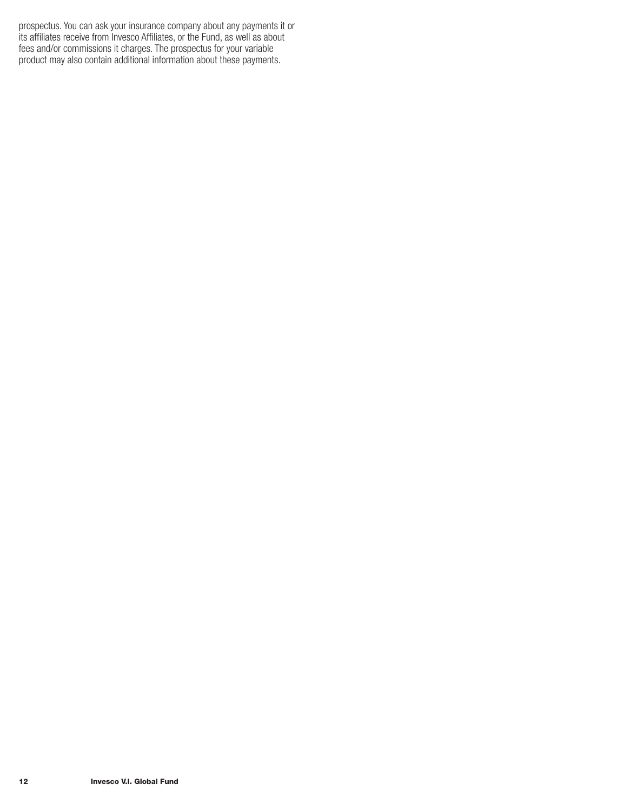prospectus. You can ask your insurance company about any payments it or its affiliates receive from Invesco Affiliates, or the Fund, as well as about fees and/or commissions it charges. The prospectus for your variable product may also contain additional information about these payments.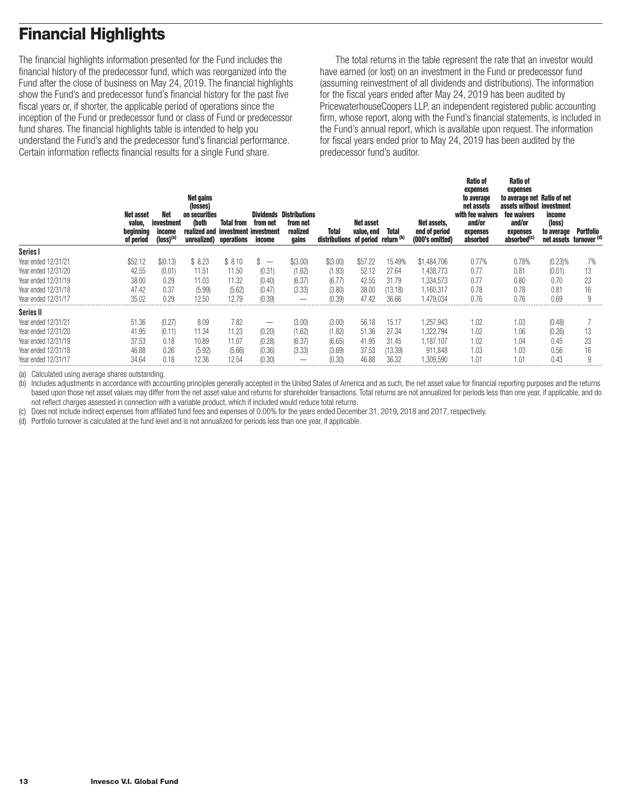# <span id="page-14-0"></span>**Financial Highlights**

The financial highlights information presented for the Fund includes the financial history of the predecessor fund, which was reorganized into the Fund after the close of business on May 24, 2019. The financial highlights show the Fund's and predecessor fund's financial history for the past five fiscal years or, if shorter, the applicable period of operations since the inception of the Fund or predecessor fund or class of Fund or predecessor fund shares. The financial highlights table is intended to help you understand the Fund's and the predecessor fund's financial performance. Certain information reflects financial results for a single Fund share.

The total returns in the table represent the rate that an investor would have earned (or lost) on an investment in the Fund or predecessor fund (assuming reinvestment of all dividends and distributions). The information for the fiscal years ended after May 24, 2019 has been audited by PricewaterhouseCoopers LLP, an independent registered public accounting firm, whose report, along with the Fund's financial statements, is included in the Fund's annual report, which is available upon request. The information for fiscal years ended prior to May 24, 2019 has been audited by the predecessor fund's auditor.

| Net asset<br>value,<br>beginning<br>of period | Net<br>investment<br>income<br>(loss) <sup>(a)</sup> | <b>Net gains</b><br>(losses)<br>on securities<br>(both | <b>Total from</b><br>realized and investment investment<br>unrealized) operations | from net<br>income       | <b>Dividends Distributions</b><br>from net<br>realized<br>gains | Total<br>distributions of period return (b) | Net asset<br>value, end | Total   | Net assets,<br>end of period<br>(000's omitted) | <b>Ratio of</b><br>expenses<br>to average<br>net assets<br>with fee waivers<br>and/or<br>expenses<br>absorbed | <b>Ratio of</b><br>expenses<br>to average net Ratio of net<br>assets without investment<br>fee waivers<br>and/or<br>expenses<br>absorbed <sup>(c)</sup> | income<br>(loss)<br>to average<br>net assets turnover (d) | Portfolio |
|-----------------------------------------------|------------------------------------------------------|--------------------------------------------------------|-----------------------------------------------------------------------------------|--------------------------|-----------------------------------------------------------------|---------------------------------------------|-------------------------|---------|-------------------------------------------------|---------------------------------------------------------------------------------------------------------------|---------------------------------------------------------------------------------------------------------------------------------------------------------|-----------------------------------------------------------|-----------|
| Series I                                      |                                                      |                                                        |                                                                                   |                          |                                                                 |                                             |                         |         |                                                 |                                                                                                               |                                                                                                                                                         |                                                           |           |
| Year ended 12/31/21<br>\$52.12                |                                                      | \$8.23<br>\$(0.13)                                     | \$8.10                                                                            | $\overline{\phantom{0}}$ | \$(3.00)                                                        | \$(3.00)                                    | \$57.22                 | 15.49%  | \$1,484,706                                     | 0.77%                                                                                                         | 0.78%                                                                                                                                                   | (0.23)%                                                   | 7%        |
| 42.55<br>Year ended 12/31/20                  |                                                      | (0.01)<br>11.51                                        | 11.50                                                                             | (0.31)                   | (1.62)                                                          | (1.93)                                      | 52.12                   | 27.64   | 1,438,773                                       | 0.77                                                                                                          | 0.81                                                                                                                                                    | (0.01)                                                    | 13        |
| 38.00<br>Year ended 12/31/19                  |                                                      | 0.29<br>11.03                                          | 11.32                                                                             | (0.40)                   | (6.37)                                                          | (6.77)                                      | 42.55                   | 31.79   | 1.334.573                                       | 0.77                                                                                                          | 0.80                                                                                                                                                    | 0.70                                                      | 23        |
| Year ended 12/31/18<br>47.42                  |                                                      | 0.37<br>(5.99)                                         | (5.62)                                                                            | (0.47)                   | (3.33)                                                          | (3.80)                                      | 38.00                   | 13.18   | 1,160,317                                       | 0.78                                                                                                          | 0.78                                                                                                                                                    | 0.81                                                      | 16        |
| 35.02<br>Year ended 12/31/17                  |                                                      | 0.29<br>12.50                                          | 12.79                                                                             | (0.39)                   |                                                                 | (0.39)                                      | 47.42                   | 36.66   | .479.034                                        | 0.76                                                                                                          | 0.76                                                                                                                                                    | 0.69                                                      |           |
| <b>Series II</b>                              |                                                      |                                                        |                                                                                   |                          |                                                                 |                                             |                         |         |                                                 |                                                                                                               |                                                                                                                                                         |                                                           |           |
| Year ended 12/31/21<br>51.36                  |                                                      | (0.27)<br>8.09                                         | 7.82                                                                              | –                        | (3.00)                                                          | (3.00)                                      | 56.18                   | 15.17   | 1,257,943                                       | 1.02                                                                                                          | 1.03                                                                                                                                                    | (0.48)                                                    |           |
| 41.95<br>Year ended 12/31/20                  |                                                      | (0.11)<br>11.34                                        | 11.23                                                                             | (0.20)                   | (1.62)                                                          | (1.82)                                      | 51.36                   | 27.34   | 1,322,794                                       | 1.02                                                                                                          | 1.06                                                                                                                                                    | (0.26)                                                    | 13        |
| 37.53<br>Year ended 12/31/19                  |                                                      | 0.18<br>10.89                                          | 11.07                                                                             | (0.28)                   | (6.37)                                                          | (6.65)                                      | 41.95                   | 31.45   | 1,187,107                                       | 1.02                                                                                                          | 1.04                                                                                                                                                    | 0.45                                                      | 23        |
| 46.88<br>Year ended 12/31/18                  |                                                      | 0.26<br>(5.92)                                         | (5.66)                                                                            | (0.36)                   | (3.33)                                                          | (3.69)                                      | 37.53                   | (13.39) | 911.848                                         | 1.03                                                                                                          | 1.03                                                                                                                                                    | 0.56                                                      | 16        |
| 34.64<br>Year ended 12/31/17                  |                                                      | 0.18<br>12.36                                          | 12.54                                                                             | (0.30)                   |                                                                 | (0.30                                       | 46.88                   | 36.32   | .309.590                                        | 1.01                                                                                                          | 1.01                                                                                                                                                    | 0.43                                                      |           |

(a) Calculated using average shares outstanding.

(b) Includes adjustments in accordance with accounting principles generally accepted in the United States of America and as such, the net asset value for financial reporting purposes and the returns based upon those net asset values may differ from the net asset value and returns for shareholder transactions. Total returns are not annualized for periods less than one year, if applicable, and do not reflect charges assessed in connection with a variable product, which if included would reduce total returns.

(c) Does not include indirect expenses from affiliated fund fees and expenses of 0.00% for the years ended December 31, 2019, 2018 and 2017, respectively.

(d) Portfolio turnover is calculated at the fund level and is not annualized for periods less than one year, if applicable.